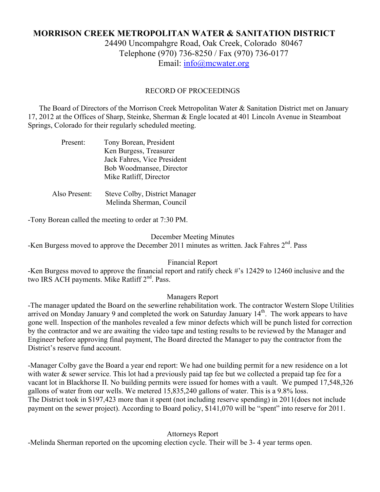# **MORRISON CREEK METROPOLITAN WATER & SANITATION DISTRICT** 24490 Uncompahgre Road, Oak Creek, Colorado 80467 Telephone (970) 736-8250 / Fax (970) 736-0177

Email: info@mcwater.org

## RECORD OF PROCEEDINGS

 The Board of Directors of the Morrison Creek Metropolitan Water & Sanitation District met on January 17, 2012 at the Offices of Sharp, Steinke, Sherman & Engle located at 401 Lincoln Avenue in Steamboat Springs, Colorado for their regularly scheduled meeting.

| Present:      | Tony Borean, President<br>Ken Burgess, Treasurer<br>Jack Fahres, Vice President<br>Bob Woodmansee, Director<br>Mike Ratliff, Director |
|---------------|---------------------------------------------------------------------------------------------------------------------------------------|
| Also Present: | Steve Colby, District Manager<br>Melinda Sherman, Council                                                                             |

-Tony Borean called the meeting to order at 7:30 PM.

#### December Meeting Minutes

-Ken Burgess moved to approve the December 2011 minutes as written. Jack Fahres 2<sup>nd</sup>. Pass

## Financial Report

-Ken Burgess moved to approve the financial report and ratify check #'s 12429 to 12460 inclusive and the two IRS ACH payments. Mike Ratliff 2<sup>nd</sup>. Pass.

## Managers Report

-The manager updated the Board on the sewerline rehabilitation work. The contractor Western Slope Utilities arrived on Monday January 9 and completed the work on Saturday January 14<sup>th</sup>. The work appears to have gone well. Inspection of the manholes revealed a few minor defects which will be punch listed for correction by the contractor and we are awaiting the video tape and testing results to be reviewed by the Manager and Engineer before approving final payment, The Board directed the Manager to pay the contractor from the District's reserve fund account.

-Manager Colby gave the Board a year end report: We had one building permit for a new residence on a lot with water & sewer service. This lot had a previously paid tap fee but we collected a prepaid tap fee for a vacant lot in Blackhorse II. No building permits were issued for homes with a vault. We pumped 17,548,326 gallons of water from our wells. We metered 15,835,240 gallons of water. This is a 9.8% loss. The District took in \$197,423 more than it spent (not including reserve spending) in 2011(does not include payment on the sewer project). According to Board policy, \$141,070 will be "spent" into reserve for 2011.

## Attorneys Report

-Melinda Sherman reported on the upcoming election cycle. Their will be 3- 4 year terms open.